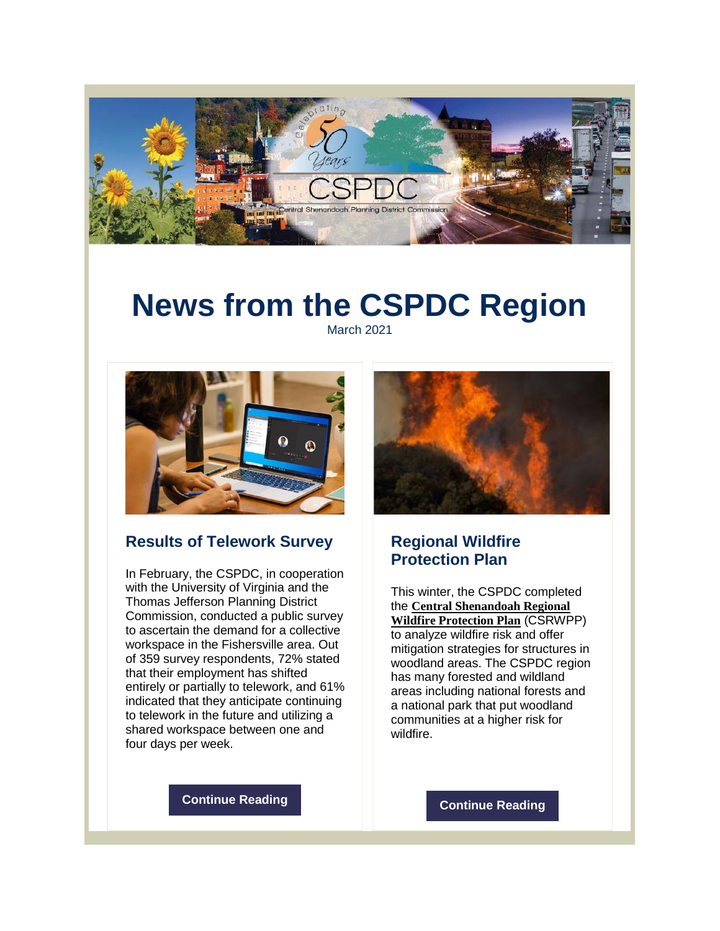

# **News from the CSPDC Region**

March 2021



#### **Results of Telework Survey**

In February, the CSPDC, in cooperation with the University of Virginia and the Thomas Jefferson Planning District Commission, conducted a public survey to ascertain the demand for a collective workspace in the Fishersville area. Out of 359 survey respondents, 72% stated that their employment has shifted entirely or partially to telework, and 61% indicated that they anticipate continuing to telework in the future and utilizing a shared workspace between one and four days per week.



#### **Regional Wildfire Protection Plan**

This winter, the CSPDC completed the **Central [Shenandoah](http://r20.rs6.net/tn.jsp?f=001EnfkOzo-s86T0GM6K6fqMsoiuGAPUbgvqO3VWSbcnSdBvYIXozkyylNWuYNTPe-_BUQqoz9Apt90P_XLoz1UXBtjgkjJZekV0G__q31szzjgpOiX8pSJVSdoSaHEeveaXFUT-BepFCH70TxUxN-iMkbw7dBjFX2g23DeQqxy5GCsw6GFczZ_ooGmZsIpaFm-Cd6vV-75-T6HSEG9b_4LIbEAoBh1jza72TQ2gT2b26NEH_qlIu2eeZ8wbej8eJ7C_FqdkvtCOgo8b9jx6JLj1w==&c=qYY41t-WcTzYQUFA9ncFYFyH_sX7V0XjFOGTITNBBYKU9aww9Qw5Ag==&ch=WF3oZ6lfU84xdwKGTkgNvH7ri5CQVXBPsE7o2mwA-f06210DmnswfA==) Regional Wildfire [Protection](http://r20.rs6.net/tn.jsp?f=001EnfkOzo-s86T0GM6K6fqMsoiuGAPUbgvqO3VWSbcnSdBvYIXozkyylNWuYNTPe-_BUQqoz9Apt90P_XLoz1UXBtjgkjJZekV0G__q31szzjgpOiX8pSJVSdoSaHEeveaXFUT-BepFCH70TxUxN-iMkbw7dBjFX2g23DeQqxy5GCsw6GFczZ_ooGmZsIpaFm-Cd6vV-75-T6HSEG9b_4LIbEAoBh1jza72TQ2gT2b26NEH_qlIu2eeZ8wbej8eJ7C_FqdkvtCOgo8b9jx6JLj1w==&c=qYY41t-WcTzYQUFA9ncFYFyH_sX7V0XjFOGTITNBBYKU9aww9Qw5Ag==&ch=WF3oZ6lfU84xdwKGTkgNvH7ri5CQVXBPsE7o2mwA-f06210DmnswfA==) Plan** (CSRWPP) to analyze wildfire risk and offer mitigation strategies for structures in woodland areas. The CSPDC region has many forested and wildland areas including national forests and a national park that put woodland communities at a higher risk for wildfire.

**[Continue](http://r20.rs6.net/tn.jsp?f=001EnfkOzo-s86T0GM6K6fqMsoiuGAPUbgvqO3VWSbcnSdBvYIXozkyylNWuYNTPe-_LXY9fYEhx__yoKvEAh8ZAAjTIG4Dm7byIzIL7NHDQtZiAi9gvBbQWanmTLzh5Dv45LVzYpAQRVmKm3xjw6kHjs1O6jQzAF2NvfRGwkalbfLCCuYXofnnBfhz1aFqg6BLSmjsQFVUWpA=&c=qYY41t-WcTzYQUFA9ncFYFyH_sX7V0XjFOGTITNBBYKU9aww9Qw5Ag==&ch=WF3oZ6lfU84xdwKGTkgNvH7ri5CQVXBPsE7o2mwA-f06210DmnswfA==) Reading**

**[Continue](http://r20.rs6.net/tn.jsp?f=001EnfkOzo-s86T0GM6K6fqMsoiuGAPUbgvqO3VWSbcnSdBvYIXozkyylNWuYNTPe-_7BUSnm7AkFdy8pgyrKf0HHcsWpwHsQMyX6mXmD9EtMey3ZO600APwGnLGybi3VeU8zhBwqqK03U2ZiEdjpM8Jh23HGXL5swwjTQx3zVHIVJtXk3qyQBxKBE1kdHXmJ3kxQ518PwM8eDX74ZZnUc0iw==&c=qYY41t-WcTzYQUFA9ncFYFyH_sX7V0XjFOGTITNBBYKU9aww9Qw5Ag==&ch=WF3oZ6lfU84xdwKGTkgNvH7ri5CQVXBPsE7o2mwA-f06210DmnswfA==) Reading**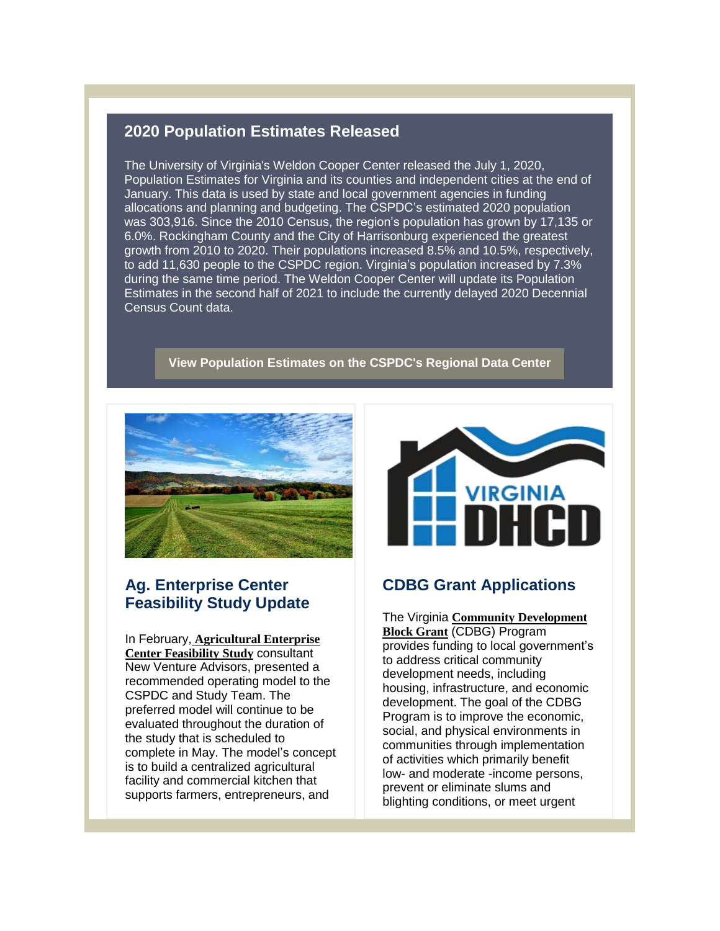#### **2020 Population Estimates Released**

The University of Virginia's Weldon Cooper Center released the July 1, 2020, Population Estimates for Virginia and its counties and independent cities at the end of January. This data is used by state and local government agencies in funding allocations and planning and budgeting. The CSPDC's estimated 2020 population was 303,916. Since the 2010 Census, the region's population has grown by 17,135 or 6.0%. Rockingham County and the City of Harrisonburg experienced the greatest growth from 2010 to 2020. Their populations increased 8.5% and 10.5%, respectively, to add 11,630 people to the CSPDC region. Virginia's population increased by 7.3% during the same time period. The Weldon Cooper Center will update its Population Estimates in the second half of 2021 to include the currently delayed 2020 Decennial Census Count data.

**View [Population](http://r20.rs6.net/tn.jsp?f=001EnfkOzo-s86T0GM6K6fqMsoiuGAPUbgvqO3VWSbcnSdBvYIXozkyyvcYC0bd3vqzAYvltUS7P8pbq5a7LS_7Lau5QNrraLd5IfgBGzz4pNKGHNaW-EbqtanYWmdCK47c2hub6KGruAF8e_XXv76cYW3LIp95eANY&c=qYY41t-WcTzYQUFA9ncFYFyH_sX7V0XjFOGTITNBBYKU9aww9Qw5Ag==&ch=WF3oZ6lfU84xdwKGTkgNvH7ri5CQVXBPsE7o2mwA-f06210DmnswfA==) Estimates on the CSPDC's Regional Data Center**



#### **Ag. Enterprise Center Feasibility Study Update**

In February, **[Agricultural](http://r20.rs6.net/tn.jsp?f=001EnfkOzo-s86T0GM6K6fqMsoiuGAPUbgvqO3VWSbcnSdBvYIXozkyyj_d5juoVueZpWPMyOrU8vDHedizKfJK5nHesyncfjDzQfZt7wxrVlZUTg1L2KgU2CZ2SYNym5S7SCz3zJu5Qfu9673EngxVgA==&c=qYY41t-WcTzYQUFA9ncFYFyH_sX7V0XjFOGTITNBBYKU9aww9Qw5Ag==&ch=WF3oZ6lfU84xdwKGTkgNvH7ri5CQVXBPsE7o2mwA-f06210DmnswfA==) Enterprise Center [Feasibility](http://r20.rs6.net/tn.jsp?f=001EnfkOzo-s86T0GM6K6fqMsoiuGAPUbgvqO3VWSbcnSdBvYIXozkyyj_d5juoVueZpWPMyOrU8vDHedizKfJK5nHesyncfjDzQfZt7wxrVlZUTg1L2KgU2CZ2SYNym5S7SCz3zJu5Qfu9673EngxVgA==&c=qYY41t-WcTzYQUFA9ncFYFyH_sX7V0XjFOGTITNBBYKU9aww9Qw5Ag==&ch=WF3oZ6lfU84xdwKGTkgNvH7ri5CQVXBPsE7o2mwA-f06210DmnswfA==) Study** consultant New Venture Advisors, presented a recommended operating model to the CSPDC and Study Team. The preferred model will continue to be evaluated throughout the duration of the study that is scheduled to complete in May. The model's concept is to build a centralized agricultural facility and commercial kitchen that supports farmers, entrepreneurs, and



#### **CDBG Grant Applications**

The Virginia **Community [Development](http://r20.rs6.net/tn.jsp?f=001EnfkOzo-s86T0GM6K6fqMsoiuGAPUbgvqO3VWSbcnSdBvYIXozkyylNWuYNTPe-_fAiYGc3RrEoQ5JZnsVIeOoaai4R2oSs_g4FMSLnoY3jysq-EadlxaS1JOj2xYcVHprPrHENQjmUt6ttuL0bp98RF6Btw9XJIAIFpFeaoVVLynizeyaM2FzDr_-j0FkwYE35eqLQqZN0=&c=qYY41t-WcTzYQUFA9ncFYFyH_sX7V0XjFOGTITNBBYKU9aww9Qw5Ag==&ch=WF3oZ6lfU84xdwKGTkgNvH7ri5CQVXBPsE7o2mwA-f06210DmnswfA==) Block [Grant](http://r20.rs6.net/tn.jsp?f=001EnfkOzo-s86T0GM6K6fqMsoiuGAPUbgvqO3VWSbcnSdBvYIXozkyylNWuYNTPe-_fAiYGc3RrEoQ5JZnsVIeOoaai4R2oSs_g4FMSLnoY3jysq-EadlxaS1JOj2xYcVHprPrHENQjmUt6ttuL0bp98RF6Btw9XJIAIFpFeaoVVLynizeyaM2FzDr_-j0FkwYE35eqLQqZN0=&c=qYY41t-WcTzYQUFA9ncFYFyH_sX7V0XjFOGTITNBBYKU9aww9Qw5Ag==&ch=WF3oZ6lfU84xdwKGTkgNvH7ri5CQVXBPsE7o2mwA-f06210DmnswfA==)** (CDBG) Program provides funding to local government's to address critical community development needs, including housing, infrastructure, and economic development. The goal of the CDBG Program is to improve the economic, social, and physical environments in communities through implementation of activities which primarily benefit low- and moderate -income persons, prevent or eliminate slums and blighting conditions, or meet urgent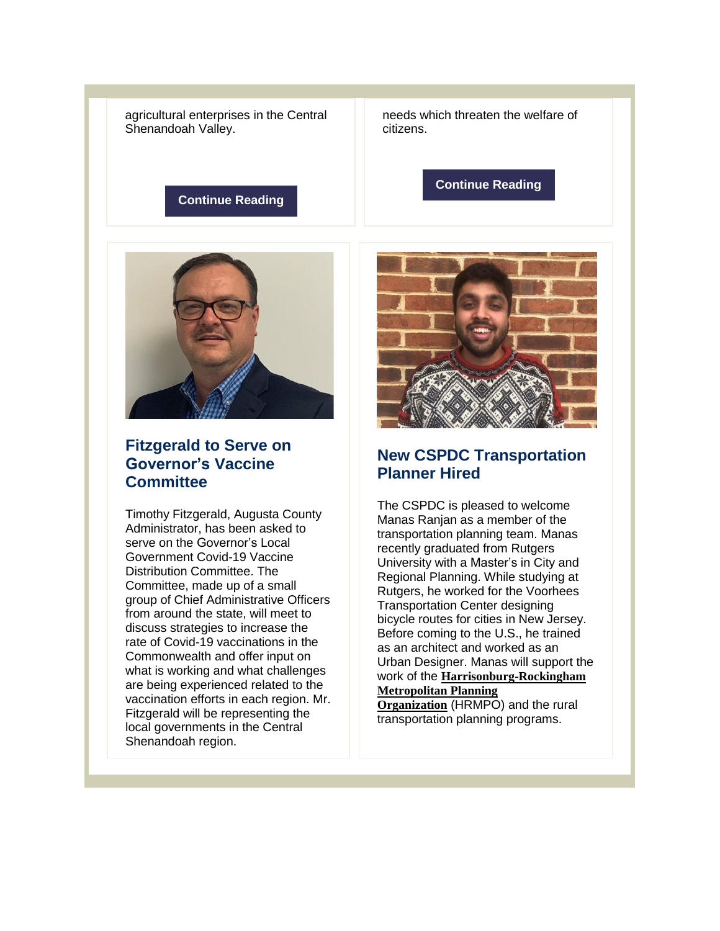agricultural enterprises in the Central Shenandoah Valley.

**[Continue](http://r20.rs6.net/tn.jsp?f=001EnfkOzo-s86T0GM6K6fqMsoiuGAPUbgvqO3VWSbcnSdBvYIXozkyylNWuYNTPe-_-T-qN88EbAqROdxtN_TnSURMvvYNMZanawzojlzoRvyP1RifvJxoIr1t5RXLWzLyvCPLoIAEWJGkKhTTy2iRWJZ1toS9aPsvKUyXC8x3tgvkHIrIcdp6HJop712-CcsF_qZEXYP5yCAcuv-b6x9cBwhPkjEDyslk_M3OYpTyApc=&c=qYY41t-WcTzYQUFA9ncFYFyH_sX7V0XjFOGTITNBBYKU9aww9Qw5Ag==&ch=WF3oZ6lfU84xdwKGTkgNvH7ri5CQVXBPsE7o2mwA-f06210DmnswfA==) Reading**



#### **Fitzgerald to Serve on Governor's Vaccine Committee**

Timothy Fitzgerald, Augusta County Administrator, has been asked to serve on the Governor's Local Government Covid-19 Vaccine Distribution Committee. The Committee, made up of a small group of Chief Administrative Officers from around the state, will meet to discuss strategies to increase the rate of Covid-19 vaccinations in the Commonwealth and offer input on what is working and what challenges are being experienced related to the vaccination efforts in each region. Mr. Fitzgerald will be representing the local governments in the Central Shenandoah region.

needs which threaten the welfare of citizens.

**[Continue](http://r20.rs6.net/tn.jsp?f=001EnfkOzo-s86T0GM6K6fqMsoiuGAPUbgvqO3VWSbcnSdBvYIXozkyylNWuYNTPe-_-nXdBt1ux-J2CtM0pPhiX7Z2vMHyH_ED3eqnGgYnhIQIYqwHFOg3ShpHHkShizdvnThBwlh3PmBSYhwwJAlQ32moH7KlSBsTWxGBo580VfswddmA_XhoINGj9jsistvZhMOMEAFSj7E=&c=qYY41t-WcTzYQUFA9ncFYFyH_sX7V0XjFOGTITNBBYKU9aww9Qw5Ag==&ch=WF3oZ6lfU84xdwKGTkgNvH7ri5CQVXBPsE7o2mwA-f06210DmnswfA==) Reading**



#### **New CSPDC Transportation Planner Hired**

The CSPDC is pleased to welcome Manas Ranjan as a member of the transportation planning team. Manas recently graduated from Rutgers University with a Master's in City and Regional Planning. While studying at Rutgers, he worked for the Voorhees Transportation Center designing bicycle routes for cities in New Jersey. Before coming to the U.S., he trained as an architect and worked as an Urban Designer. Manas will support the work of the **[Harrisonburg-Rockingham](http://r20.rs6.net/tn.jsp?f=001EnfkOzo-s86T0GM6K6fqMsoiuGAPUbgvqO3VWSbcnSdBvYIXozkyykTtvXo4JbEuHJzBzbZeXSVPXrEvkLlvLldTQ4rzD2G16mtREZQ9Zr406lUl5G_k-sQsSLxvC2P_sInKT7Nw9SyqUHfQPxlWtQ==&c=qYY41t-WcTzYQUFA9ncFYFyH_sX7V0XjFOGTITNBBYKU9aww9Qw5Ag==&ch=WF3oZ6lfU84xdwKGTkgNvH7ri5CQVXBPsE7o2mwA-f06210DmnswfA==) [Metropolitan](http://r20.rs6.net/tn.jsp?f=001EnfkOzo-s86T0GM6K6fqMsoiuGAPUbgvqO3VWSbcnSdBvYIXozkyykTtvXo4JbEuHJzBzbZeXSVPXrEvkLlvLldTQ4rzD2G16mtREZQ9Zr406lUl5G_k-sQsSLxvC2P_sInKT7Nw9SyqUHfQPxlWtQ==&c=qYY41t-WcTzYQUFA9ncFYFyH_sX7V0XjFOGTITNBBYKU9aww9Qw5Ag==&ch=WF3oZ6lfU84xdwKGTkgNvH7ri5CQVXBPsE7o2mwA-f06210DmnswfA==) Planning**

**[Organization](http://r20.rs6.net/tn.jsp?f=001EnfkOzo-s86T0GM6K6fqMsoiuGAPUbgvqO3VWSbcnSdBvYIXozkyykTtvXo4JbEuHJzBzbZeXSVPXrEvkLlvLldTQ4rzD2G16mtREZQ9Zr406lUl5G_k-sQsSLxvC2P_sInKT7Nw9SyqUHfQPxlWtQ==&c=qYY41t-WcTzYQUFA9ncFYFyH_sX7V0XjFOGTITNBBYKU9aww9Qw5Ag==&ch=WF3oZ6lfU84xdwKGTkgNvH7ri5CQVXBPsE7o2mwA-f06210DmnswfA==)** (HRMPO) and the rural transportation planning programs.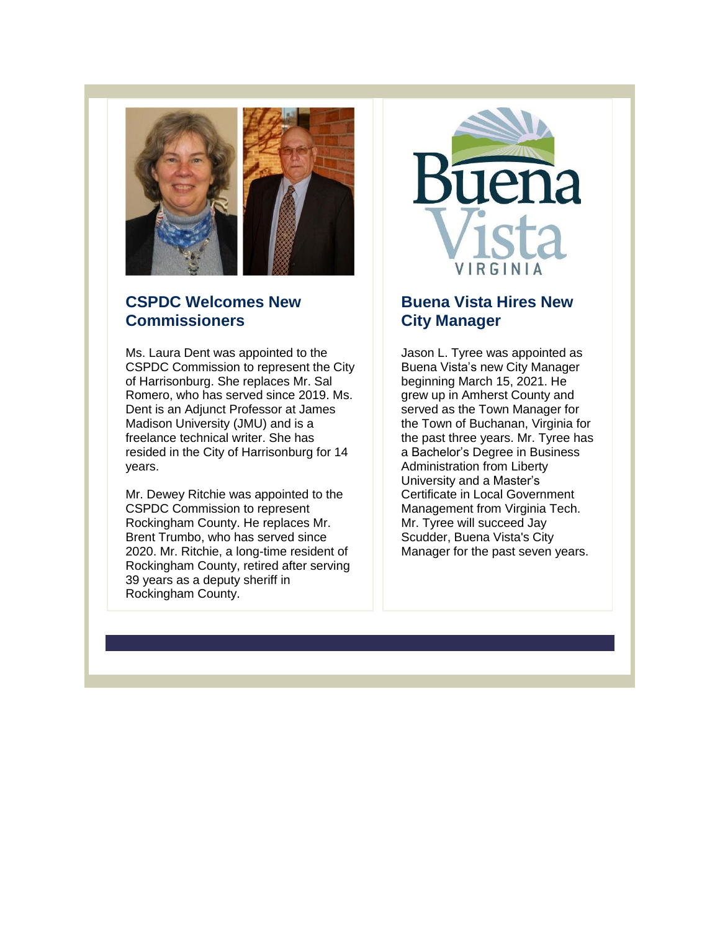

### **CSPDC Welcomes New Commissioners**

Ms. Laura Dent was appointed to the CSPDC Commission to represent the City of Harrisonburg. She replaces Mr. Sal Romero, who has served since 2019. Ms. Dent is an Adjunct Professor at James Madison University (JMU) and is a freelance technical writer. She has resided in the City of Harrisonburg for 14 years.

Mr. Dewey Ritchie was appointed to the CSPDC Commission to represent Rockingham County. He replaces Mr. Brent Trumbo, who has served since 2020. Mr. Ritchie, a long-time resident of Rockingham County, retired after serving 39 years as a deputy sheriff in Rockingham County.



## **Buena Vista Hires New City Manager**

Jason L. Tyree was appointed as Buena Vista's new City Manager beginning March 15, 2021. He grew up in Amherst County and served as the Town Manager for the Town of Buchanan, Virginia for the past three years. Mr. Tyree has a Bachelor's Degree in Business Administration from Liberty University and a Master's Certificate in Local Government Management from Virginia Tech. Mr. Tyree will succeed Jay Scudder, Buena Vista's City Manager for the past seven years.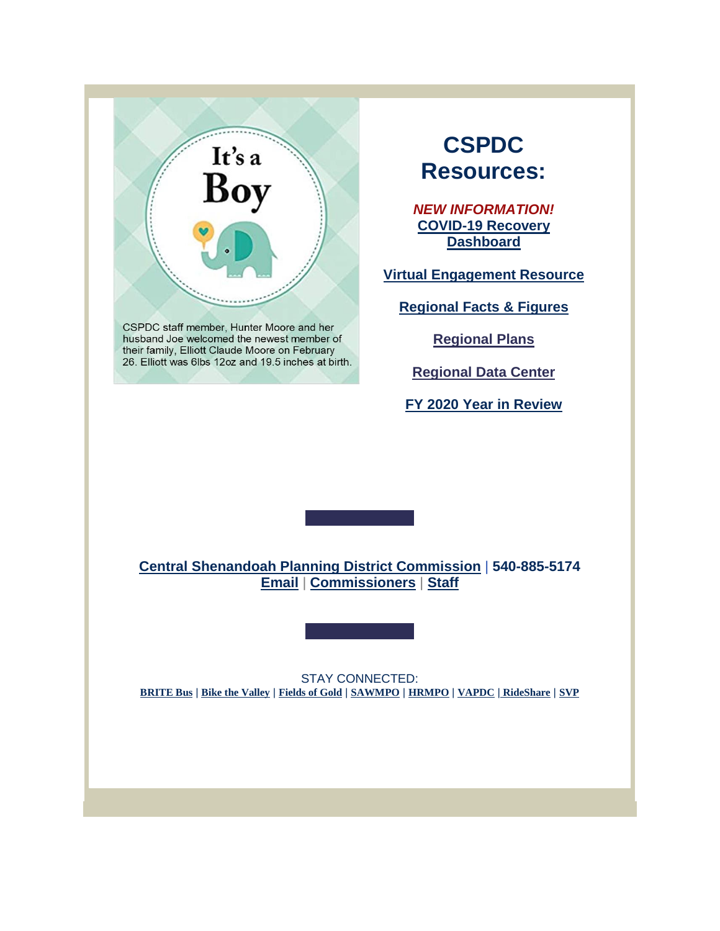

CSPDC staff member, Hunter Moore and her husband Joe welcomed the newest member of their family, Elliott Claude Moore on February 26. Elliott was 6lbs 12oz and 19.5 inches at birth.

# **CSPDC Resources:**

*NEW INFORMATION!* **[COVID-19](http://r20.rs6.net/tn.jsp?f=001EnfkOzo-s86T0GM6K6fqMsoiuGAPUbgvqO3VWSbcnSdBvYIXozkyysZNkYPQciFHC3eXsvGEzS9TZRgbEll5Iduwb4dXWb_NQ_jbBbk_Z3nXmVIdNzhS08M6QdvfgNxus_F1ugOiIcSsv7UhHwCNjtNtk0ynv6NZRtDd8LmWwvw=&c=qYY41t-WcTzYQUFA9ncFYFyH_sX7V0XjFOGTITNBBYKU9aww9Qw5Ag==&ch=WF3oZ6lfU84xdwKGTkgNvH7ri5CQVXBPsE7o2mwA-f06210DmnswfA==) Recovery [Dashboard](http://r20.rs6.net/tn.jsp?f=001EnfkOzo-s86T0GM6K6fqMsoiuGAPUbgvqO3VWSbcnSdBvYIXozkyysZNkYPQciFHC3eXsvGEzS9TZRgbEll5Iduwb4dXWb_NQ_jbBbk_Z3nXmVIdNzhS08M6QdvfgNxus_F1ugOiIcSsv7UhHwCNjtNtk0ynv6NZRtDd8LmWwvw=&c=qYY41t-WcTzYQUFA9ncFYFyH_sX7V0XjFOGTITNBBYKU9aww9Qw5Ag==&ch=WF3oZ6lfU84xdwKGTkgNvH7ri5CQVXBPsE7o2mwA-f06210DmnswfA==)**

**Virtual [Engagement](http://r20.rs6.net/tn.jsp?f=001EnfkOzo-s86T0GM6K6fqMsoiuGAPUbgvqO3VWSbcnSdBvYIXozkyyqCwzYRdugun2bJGllHt8msQ8jmM-4iiDxYWbHJh2tsTBmzP--a6SiAV2ADmOTBQ_MLz-wLtf-Lr_g_0ldlg-SV59yOU4ZJvcUJEDl-ed1TZhFko_X6jngthLtJGNaRsn71Ax4kBqF8ujDt8xB-Io0Izk5pqzE05Eg==&c=qYY41t-WcTzYQUFA9ncFYFyH_sX7V0XjFOGTITNBBYKU9aww9Qw5Ag==&ch=WF3oZ6lfU84xdwKGTkgNvH7ri5CQVXBPsE7o2mwA-f06210DmnswfA==) Resource**

**[Regional](http://r20.rs6.net/tn.jsp?f=001EnfkOzo-s86T0GM6K6fqMsoiuGAPUbgvqO3VWSbcnSdBvYIXozkyykXP_0C8mzkA1L-pbwpAEIqMtW0Y8XlmaO6oJMVDZIeppRWsGcjXrF6e7ydnIhE122m9Un6jeRSVGpkEnqAbyLgn2BUZs4pqlUjY-7-4UF75&c=qYY41t-WcTzYQUFA9ncFYFyH_sX7V0XjFOGTITNBBYKU9aww9Qw5Ag==&ch=WF3oZ6lfU84xdwKGTkgNvH7ri5CQVXBPsE7o2mwA-f06210DmnswfA==) Facts & Figures**

**[Regional](http://r20.rs6.net/tn.jsp?f=001EnfkOzo-s86T0GM6K6fqMsoiuGAPUbgvqO3VWSbcnSdBvYIXozkyyvcYC0bd3vqz-GeWyt2SxsdxpvrhQvCG21eG3p0nx4zXgH8ufXovnm5WOCtBwypr9iDXdlBThZiUDbOPcrkYvmoqTIv5c1MZeL9Ljpzdxigz&c=qYY41t-WcTzYQUFA9ncFYFyH_sX7V0XjFOGTITNBBYKU9aww9Qw5Ag==&ch=WF3oZ6lfU84xdwKGTkgNvH7ri5CQVXBPsE7o2mwA-f06210DmnswfA==) Plans**

**[Regional](http://r20.rs6.net/tn.jsp?f=001EnfkOzo-s86T0GM6K6fqMsoiuGAPUbgvqO3VWSbcnSdBvYIXozkyyvcYC0bd3vqzAYvltUS7P8pbq5a7LS_7Lau5QNrraLd5IfgBGzz4pNKGHNaW-EbqtanYWmdCK47c2hub6KGruAF8e_XXv76cYW3LIp95eANY&c=qYY41t-WcTzYQUFA9ncFYFyH_sX7V0XjFOGTITNBBYKU9aww9Qw5Ag==&ch=WF3oZ6lfU84xdwKGTkgNvH7ri5CQVXBPsE7o2mwA-f06210DmnswfA==) Data Center**

**FY 2020 Year in [Review](http://r20.rs6.net/tn.jsp?f=001EnfkOzo-s86T0GM6K6fqMsoiuGAPUbgvqO3VWSbcnSdBvYIXozkyyqkn6aN4vvznKoNbnRgcVx6AfcHg-erle7lYkfHIeC9Znj3SSiYCVGkdTNK4Huxwmez8c3KryiGz__XEerfGrzZJsJGYRLsh_cBHLmtvKAVehzKnkMB8r3FUGu8gUZGIdlgRGNsZAV_rPLRWQiPw7IW9UVDLgYr96QiYq8dHnxV4BSSza-RLswU=&c=qYY41t-WcTzYQUFA9ncFYFyH_sX7V0XjFOGTITNBBYKU9aww9Qw5Ag==&ch=WF3oZ6lfU84xdwKGTkgNvH7ri5CQVXBPsE7o2mwA-f06210DmnswfA==)**

**Central Shenandoah Planning District [Commission](http://r20.rs6.net/tn.jsp?f=001EnfkOzo-s86T0GM6K6fqMsoiuGAPUbgvqO3VWSbcnSdBvYIXozkyypjWOaqJA1XdCEvsoa9WYnVe2Ziok7_099wfMIyW82ec_oq5NCaiohXFHHd-71I2DrgmGMfcJ92M9AJODca-6mBJn312yAAptg==&c=qYY41t-WcTzYQUFA9ncFYFyH_sX7V0XjFOGTITNBBYKU9aww9Qw5Ag==&ch=WF3oZ6lfU84xdwKGTkgNvH7ri5CQVXBPsE7o2mwA-f06210DmnswfA==)** | **540-885-5174 [Email](mailto:kimberly@cspdc.org)** | **[Commissioners](http://r20.rs6.net/tn.jsp?f=001EnfkOzo-s86T0GM6K6fqMsoiuGAPUbgvqO3VWSbcnSdBvYIXozkyykXP_0C8mzkAjgzLNHEbNAHvnjACiLaq5SR91NiK_NUEsEuwcjetOgSJQ0a25g2SJqUF0SptM1llM85mYL2c6-bAYkkO7uQZycrXdGvb3d8UTVv6esp52LG9KGRZhWYFdg==&c=qYY41t-WcTzYQUFA9ncFYFyH_sX7V0XjFOGTITNBBYKU9aww9Qw5Ag==&ch=WF3oZ6lfU84xdwKGTkgNvH7ri5CQVXBPsE7o2mwA-f06210DmnswfA==)** | **[Staff](http://r20.rs6.net/tn.jsp?f=001EnfkOzo-s86T0GM6K6fqMsoiuGAPUbgvqO3VWSbcnSdBvYIXozkyykXP_0C8mzkAEf2NeQALZRmMSnwJo0Swxb_A4kVqjLDKZzD8ssM3UXVGcovd9Hsf5dlnuCFCnITEYuM5Hh-GBA7fYhxDBr_fYJu4NeUJ6FoMqnZQbo2fY_A9OaCP_wiQtqz1HVOtbpk2rnfkFgydTUX3eA98k0tqaoLzHdErhE2yJA0vhShzAAIjHCcaOXFuzGkzf8OjrZC6XlVjQ5Z3j7_Azcheraeb4ZTW5kY_vF6nAzBY8GankNs=&c=qYY41t-WcTzYQUFA9ncFYFyH_sX7V0XjFOGTITNBBYKU9aww9Qw5Ag==&ch=WF3oZ6lfU84xdwKGTkgNvH7ri5CQVXBPsE7o2mwA-f06210DmnswfA==)**

STAY CONNECTED: **[BRITE](http://r20.rs6.net/tn.jsp?f=001EnfkOzo-s86T0GM6K6fqMsoiuGAPUbgvqO3VWSbcnSdBvYIXozkyyg84asSEmTj_nOcjwbLxmOk-OIVhMOCZtOTyvMXORutIdfB_W7PTuSe8yFP0ZzNtYXggd5MiEf0GzlduCA3XB3MJxaiJ3Ci98Q==&c=qYY41t-WcTzYQUFA9ncFYFyH_sX7V0XjFOGTITNBBYKU9aww9Qw5Ag==&ch=WF3oZ6lfU84xdwKGTkgNvH7ri5CQVXBPsE7o2mwA-f06210DmnswfA==) Bus** | **Bike the [Valley](http://r20.rs6.net/tn.jsp?f=001EnfkOzo-s86T0GM6K6fqMsoiuGAPUbgvqO3VWSbcnSdBvYIXozkyykTtvXo4JbEuDHmKHXwE1flhZ7FS-KQUttW0ux8AKtgpx-_0H4TTp7luwba_ZjcYbMJY7rbjr6ekM6_8itCK-EiXiiIq2AyHew==&c=qYY41t-WcTzYQUFA9ncFYFyH_sX7V0XjFOGTITNBBYKU9aww9Qw5Ag==&ch=WF3oZ6lfU84xdwKGTkgNvH7ri5CQVXBPsE7o2mwA-f06210DmnswfA==)** | **[Fields](http://r20.rs6.net/tn.jsp?f=001EnfkOzo-s86T0GM6K6fqMsoiuGAPUbgvqO3VWSbcnSdBvYIXozkyypjWOaqJA1XdP_bzfJtsRdLB1AqzT6KWIhG-VDKbrih-2WvdJR7pm7BcQyKFRHm1Bc_9mKMf_qc8sE9rTCXymnRfqVfimK3ppQ==&c=qYY41t-WcTzYQUFA9ncFYFyH_sX7V0XjFOGTITNBBYKU9aww9Qw5Ag==&ch=WF3oZ6lfU84xdwKGTkgNvH7ri5CQVXBPsE7o2mwA-f06210DmnswfA==) of Gold** | **[SAWMPO](http://r20.rs6.net/tn.jsp?f=001EnfkOzo-s86T0GM6K6fqMsoiuGAPUbgvqO3VWSbcnSdBvYIXozkyykTtvXo4JbEut-zXoV4NQTzm87YnSZK-cMwfvWqfweNZw_tvv6ERpI0UEPDs1NfwCTeWoGVmw8OEXLOiJ9J5LW0cnsOuK3oLGA==&c=qYY41t-WcTzYQUFA9ncFYFyH_sX7V0XjFOGTITNBBYKU9aww9Qw5Ag==&ch=WF3oZ6lfU84xdwKGTkgNvH7ri5CQVXBPsE7o2mwA-f06210DmnswfA==)** | **[HRMPO](http://r20.rs6.net/tn.jsp?f=001EnfkOzo-s86T0GM6K6fqMsoiuGAPUbgvqO3VWSbcnSdBvYIXozkyynJEuwJxdp12yZG-i10kCTZyQFrFZj7z-nsUlewm929ED2IAx5Cf7Co3Yce52-j1c71BQMZmHfg-2vNQM2rQEI_enO83hoL6uA==&c=qYY41t-WcTzYQUFA9ncFYFyH_sX7V0XjFOGTITNBBYKU9aww9Qw5Ag==&ch=WF3oZ6lfU84xdwKGTkgNvH7ri5CQVXBPsE7o2mwA-f06210DmnswfA==)** | **[VAPDC](http://r20.rs6.net/tn.jsp?f=001EnfkOzo-s86T0GM6K6fqMsoiuGAPUbgvqO3VWSbcnSdBvYIXozkyyvelMOvnBy9vRDzpFcZhnegcb05eS5OVA-K50H5_t-MBOBYJZ9TcWKZM9ZdDWKjcHAT_RlB8wqqFNLJ8lOetrZk=&c=qYY41t-WcTzYQUFA9ncFYFyH_sX7V0XjFOGTITNBBYKU9aww9Qw5Ag==&ch=WF3oZ6lfU84xdwKGTkgNvH7ri5CQVXBPsE7o2mwA-f06210DmnswfA==)** | **[RideShare](http://r20.rs6.net/tn.jsp?f=001EnfkOzo-s86T0GM6K6fqMsoiuGAPUbgvqO3VWSbcnSdBvYIXozkyykTtvXo4JbEuqF7JjasAKpDpewRWJinP5P4tqZI9CBxH9Y1ALQ_tDsEe7I3WhbOMhcjY-64zPxf4Ub9rYvvVjWvPBQXxq65HYw==&c=qYY41t-WcTzYQUFA9ncFYFyH_sX7V0XjFOGTITNBBYKU9aww9Qw5Ag==&ch=WF3oZ6lfU84xdwKGTkgNvH7ri5CQVXBPsE7o2mwA-f06210DmnswfA==)** | **[SVP](http://r20.rs6.net/tn.jsp?f=001EnfkOzo-s86T0GM6K6fqMsoiuGAPUbgvqO3VWSbcnSdBvYIXozkyyvcYC0bd3vqzy5NGv-Pi7p-qePom3Xsy35TYdVzuUEjKjsAu9oY1Oq6TfvL7wf-Lpm9EWwTBwCj6ee1inPN70oR0ozGbMwrfpd71ePY7VYit&c=qYY41t-WcTzYQUFA9ncFYFyH_sX7V0XjFOGTITNBBYKU9aww9Qw5Ag==&ch=WF3oZ6lfU84xdwKGTkgNvH7ri5CQVXBPsE7o2mwA-f06210DmnswfA==)**